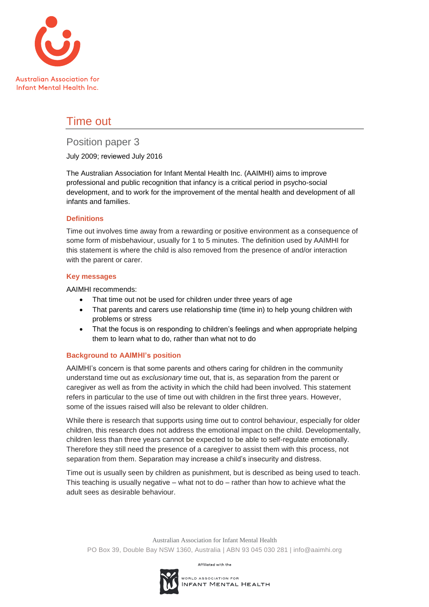

# Time out

## Position paper 3

July 2009; reviewed July 2016

The Australian Association for Infant Mental Health Inc. (AAIMHI) aims to improve professional and public recognition that infancy is a critical period in psycho-social development, and to work for the improvement of the mental health and development of all infants and families.

## **Definitions**

Time out involves time away from a rewarding or positive environment as a consequence of some form of misbehaviour, usually for 1 to 5 minutes. The definition used by AAIMHI for this statement is where the child is also removed from the presence of and/or interaction with the parent or carer.

## **Key messages**

AAIMHI recommends:

- That time out not be used for children under three years of age
- That parents and carers use relationship time (time in) to help young children with problems or stress
- That the focus is on responding to children's feelings and when appropriate helping them to learn what to do, rather than what not to do

## **Background to AAIMHI's position**

AAIMHI's concern is that some parents and others caring for children in the community understand time out as *exclusionary* time out, that is, as separation from the parent or caregiver as well as from the activity in which the child had been involved. This statement refers in particular to the use of time out with children in the first three years. However, some of the issues raised will also be relevant to older children.

While there is research that supports using time out to control behaviour, especially for older children, this research does not address the emotional impact on the child. Developmentally, children less than three years cannot be expected to be able to self-regulate emotionally. Therefore they still need the presence of a caregiver to assist them with this process, not separation from them. Separation may increase a child's insecurity and distress.

Time out is usually seen by children as punishment, but is described as being used to teach. This teaching is usually negative – what not to do – rather than how to achieve what the adult sees as desirable behaviour.

Australian Association for Infant Mental Health PO Box 39, Double Bay NSW 1360, Australia | ABN 93 045 030 281 | info@aaimhi.org

Affiliated with the

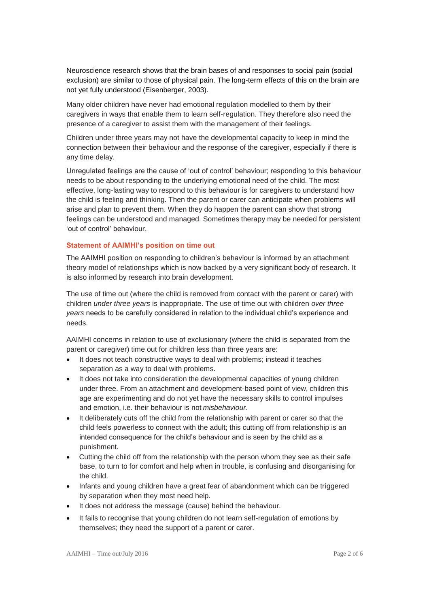Neuroscience research shows that the brain bases of and responses to social pain (social exclusion) are similar to those of physical pain. The long-term effects of this on the brain are not yet fully understood (Eisenberger, 2003).

Many older children have never had emotional regulation modelled to them by their caregivers in ways that enable them to learn self-regulation. They therefore also need the presence of a caregiver to assist them with the management of their feelings.

Children under three years may not have the developmental capacity to keep in mind the connection between their behaviour and the response of the caregiver, especially if there is any time delay.

Unregulated feelings are the cause of 'out of control' behaviour; responding to this behaviour needs to be about responding to the underlying emotional need of the child. The most effective, long-lasting way to respond to this behaviour is for caregivers to understand how the child is feeling and thinking. Then the parent or carer can anticipate when problems will arise and plan to prevent them. When they do happen the parent can show that strong feelings can be understood and managed. Sometimes therapy may be needed for persistent 'out of control' behaviour.

### **Statement of AAIMHI's position on time out**

The AAIMHI position on responding to children's behaviour is informed by an attachment theory model of relationships which is now backed by a very significant body of research. It is also informed by research into brain development.

The use of time out (where the child is removed from contact with the parent or carer) with children *under three years* is inappropriate. The use of time out with children *over three years* needs to be carefully considered in relation to the individual child's experience and needs.

AAIMHI concerns in relation to use of exclusionary (where the child is separated from the parent or caregiver) time out for children less than three years are:

- It does not teach constructive ways to deal with problems; instead it teaches separation as a way to deal with problems.
- It does not take into consideration the developmental capacities of young children under three. From an attachment and development-based point of view, children this age are experimenting and do not yet have the necessary skills to control impulses and emotion, i.e. their behaviour is not *misbehaviour*.
- It deliberately cuts off the child from the relationship with parent or carer so that the child feels powerless to connect with the adult; this cutting off from relationship is an intended consequence for the child's behaviour and is seen by the child as a punishment.
- Cutting the child off from the relationship with the person whom they see as their safe base, to turn to for comfort and help when in trouble, is confusing and disorganising for the child.
- Infants and young children have a great fear of abandonment which can be triggered by separation when they most need help.
- It does not address the message (cause) behind the behaviour.
- It fails to recognise that young children do not learn self-regulation of emotions by themselves; they need the support of a parent or carer.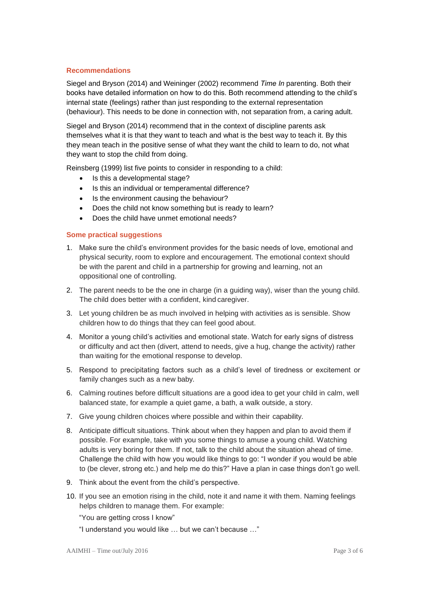#### **Recommendations**

Siegel and Bryson (2014) and Weininger (2002) recommend *Time In* parenting. Both their books have detailed information on how to do this. Both recommend attending to the child's internal state (feelings) rather than just responding to the external representation (behaviour). This needs to be done in connection with, not separation from, a caring adult.

Siegel and Bryson (2014) recommend that in the context of discipline parents ask themselves what it is that they want to teach and what is the best way to teach it. By this they mean teach in the positive sense of what they want the child to learn to do, not what they want to stop the child from doing.

Reinsberg (1999) list five points to consider in responding to a child:

- Is this a developmental stage?
- Is this an individual or temperamental difference?
- Is the environment causing the behaviour?
- Does the child not know something but is ready to learn?
- Does the child have unmet emotional needs?

## **Some practical suggestions**

- 1. Make sure the child's environment provides for the basic needs of love, emotional and physical security, room to explore and encouragement. The emotional context should be with the parent and child in a partnership for growing and learning, not an oppositional one of controlling.
- 2. The parent needs to be the one in charge (in a guiding way), wiser than the young child. The child does better with a confident, kind caregiver.
- 3. Let young children be as much involved in helping with activities as is sensible. Show children how to do things that they can feel good about.
- 4. Monitor a young child's activities and emotional state. Watch for early signs of distress or difficulty and act then (divert, attend to needs, give a hug, change the activity) rather than waiting for the emotional response to develop.
- 5. Respond to precipitating factors such as a child's level of tiredness or excitement or family changes such as a new baby.
- 6. Calming routines before difficult situations are a good idea to get your child in calm, well balanced state, for example a quiet game, a bath, a walk outside, a story.
- 7. Give young children choices where possible and within their capability.
- 8. Anticipate difficult situations. Think about when they happen and plan to avoid them if possible. For example, take with you some things to amuse a young child. Watching adults is very boring for them. If not, talk to the child about the situation ahead of time. Challenge the child with how you would like things to go: "I wonder if you would be able to (be clever, strong etc.) and help me do this?" Have a plan in case things don't go well.
- 9. Think about the event from the child's perspective.
- 10. If you see an emotion rising in the child, note it and name it with them. Naming feelings helps children to manage them. For example:
	- "You are getting cross I know"
	- "I understand you would like … but we can't because …"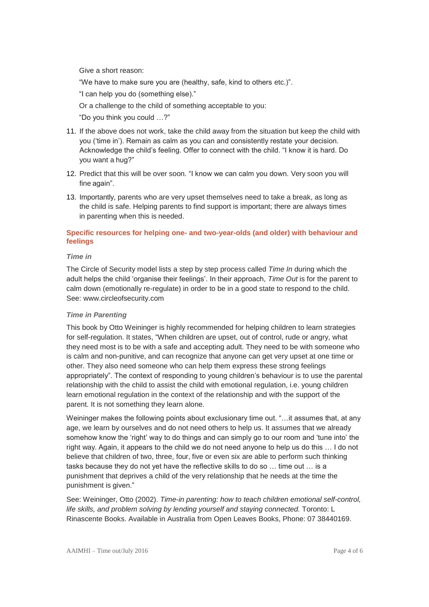Give a short reason:

"We have to make sure you are (healthy, safe, kind to others etc.)".

"I can help you do (something else)."

Or a challenge to the child of something acceptable to you:

"Do you think you could …?"

- 11. If the above does not work, take the child away from the situation but keep the child with you ('time in'). Remain as calm as you can and consistently restate your decision. Acknowledge the child's feeling. Offer to connect with the child. "I know it is hard. Do you want a hug?"
- 12. Predict that this will be over soon. "I know we can calm you down. Very soon you will fine again".
- 13. Importantly, parents who are very upset themselves need to take a break, as long as the child is safe. Helping parents to find support is important; there are always times in parenting when this is needed.

## **Specific resources for helping one- and two-year-olds (and older) with behaviour and feelings**

#### *Time in*

The Circle of Security model lists a step by step process called *Time In* during which the adult helps the child 'organise their feelings'. In their approach, *Time Out* is for the parent to calm down (emotionally re-regulate) in order to be in a good state to respond to the child. See: [www.circleofsecurity.com](http://www.circleofsecurity.com/)

#### *Time in Parenting*

This book by Otto Weininger is highly recommended for helping children to learn strategies for self-regulation. It states, "When children are upset, out of control, rude or angry, what they need most is to be with a safe and accepting adult. They need to be with someone who is calm and non-punitive, and can recognize that anyone can get very upset at one time or other. They also need someone who can help them express these strong feelings appropriately". The context of responding to young children's behaviour is to use the parental relationship with the child to assist the child with emotional regulation, i.e. young children learn emotional regulation in the context of the relationship and with the support of the parent. It is not something they learn alone.

Weininger makes the following points about exclusionary time out. "... it assumes that, at any age, we learn by ourselves and do not need others to help us. It assumes that we already somehow know the 'right' way to do things and can simply go to our room and 'tune into' the right way. Again, it appears to the child we do not need anyone to help us do this … I do not believe that children of two, three, four, five or even six are able to perform such thinking tasks because they do not yet have the reflective skills to do so … time out … is a punishment that deprives a child of the very relationship that he needs at the time the punishment is given."

See: Weininger, Otto (2002). *Time-in parenting: how to teach children emotional self-control, life skills, and problem solving by lending yourself and staying connected.* Toronto: L Rinascente Books. Available in Australia from Open Leaves Books, Phone: 07 38440169.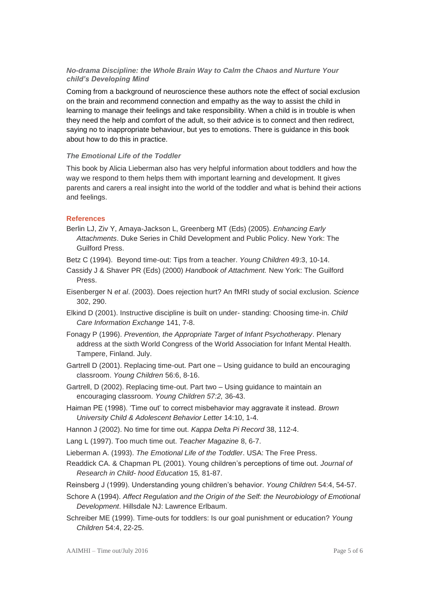## *No-drama Discipline: the Whole Brain Way to Calm the Chaos and Nurture Your child's Developing Mind*

Coming from a background of neuroscience these authors note the effect of social exclusion on the brain and recommend connection and empathy as the way to assist the child in learning to manage their feelings and take responsibility. When a child is in trouble is when they need the help and comfort of the adult, so their advice is to connect and then redirect, saying no to inappropriate behaviour, but yes to emotions. There is guidance in this book about how to do this in practice.

#### *The Emotional Life of the Toddler*

This book by Alicia Lieberman also has very helpful information about toddlers and how the way we respond to them helps them with important learning and development. It gives parents and carers a real insight into the world of the toddler and what is behind their actions and feelings.

#### **References**

- Berlin LJ, Ziv Y, Amaya-Jackson L, Greenberg MT (Eds) (2005). *Enhancing Early Attachments*. Duke Series in Child Development and Public Policy. New York: The Guilford Press.
- Betz C (1994). Beyond time-out: Tips from a teacher. *Young Children* 49:3, 10-14.
- Cassidy J & Shaver PR (Eds) (2000) *Handbook of Attachment.* New York: The Guilford Press.
- Eisenberger N *et al*. (2003). Does rejection hurt? An fMRI study of social exclusion. *Science* 302, 290.
- Elkind D (2001). Instructive discipline is built on under- standing: Choosing time-in. *Child Care Information Exchange* 141, 7-8.
- Fonagy P (1996). *Prevention, the Appropriate Target of Infant Psychotherapy*. Plenary address at the sixth World Congress of the World Association for Infant Mental Health. Tampere, Finland. July.
- Gartrell D (2001). Replacing time-out. Part one Using guidance to build an encouraging classroom. *Young Children* 56:6, 8-16.
- Gartrell, D (2002). Replacing time-out. Part two Using guidance to maintain an encouraging classroom. *Young Children 57:2,* 36-43.
- Haiman PE (1998). 'Time out' to correct misbehavior may aggravate it instead. *Brown University Child & Adolescent Behavior Letter* 14:10, 1-4.
- Hannon J (2002). No time for time out. *Kappa Delta Pi Record* 38, 112-4.
- Lang L (1997). Too much time out. *Teacher Magazine* 8, 6-7.

Lieberman A. (1993). *The Emotional Life of the Toddler*. USA: The Free Press.

Readdick CA. & Chapman PL (2001). Young children's perceptions of time out. *Journal of Research in Child- hood Education* 15*,* 81-87.

- Reinsberg J (1999). Understanding young children's behavior. *Young Children* 54:4, 54-57.
- Schore A (1994). *Affect Regulation and the Origin of the Self: the Neurobiology of Emotional Development*. Hillsdale NJ: Lawrence Erlbaum.
- Schreiber ME (1999). Time-outs for toddlers: Is our goal punishment or education? *Young Children* 54:4, 22-25.